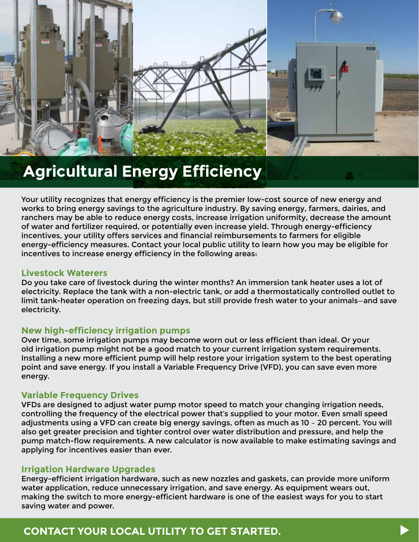

# **Agricultural Energy Efficiency**

Your utility recognizes that energy efficiency is the premier low-cost source of new energy and works to bring energy savings to the agriculture industry. By saving energy, farmers, dairies, and ranchers may be able to reduce energy costs, increase irrigation uniformity, decrease the amount of water and fertilizer required, or potentially even increase yield. Through energy-efficiency incentives, your utility offers services and financial reimbursements to farmers for eligible energy-efficiency measures. Contact your local public utility to learn how you may be eligible for incentives to increase energy efficiency in the following areas:

# **Livestock Waterers**

Do you take care of livestock during the winter months? An immersion tank heater uses a lot of electricity. Replace the tank with a non-electric tank, or add a thermostatically controlled outlet to limit tank-heater operation on freezing days, but still provide fresh water to your animals—and save electricity.

# **New high-efficiency irrigation pumps**

Over time, some irrigation pumps may become worn out or less efficient than ideal. Or your old irrigation pump might not be a good match to your current irrigation system requirements. Installing a new more efficient pump will help restore your irrigation system to the best operating point and save energy. If you install a Variable Frequency Drive (VFD), you can save even more energy.

# **Variable Frequency Drives**

VFDs are designed to adjust water pump motor speed to match your changing irrigation needs, controlling the frequency of the electrical power that's supplied to your motor. Even small speed adjustments using a VFD can create big energy savings, often as much as 10 – 20 percent. You will also get greater precision and tighter control over water distribution and pressure, and help the pump match-flow requirements. A new calculator is now available to make estimating savings and applying for incentives easier than ever.

# **Irrigation Hardware Upgrades**

Energy-efficient irrigation hardware, such as new nozzles and gaskets, can provide more uniform water application, reduce unnecessary irrigation, and save energy. As equipment wears out, making the switch to more energy-efficient hardware is one of the easiest ways for you to start saving water and power.

# **CONTACT YOUR LOCAL UTILITY TO GET STARTED.**